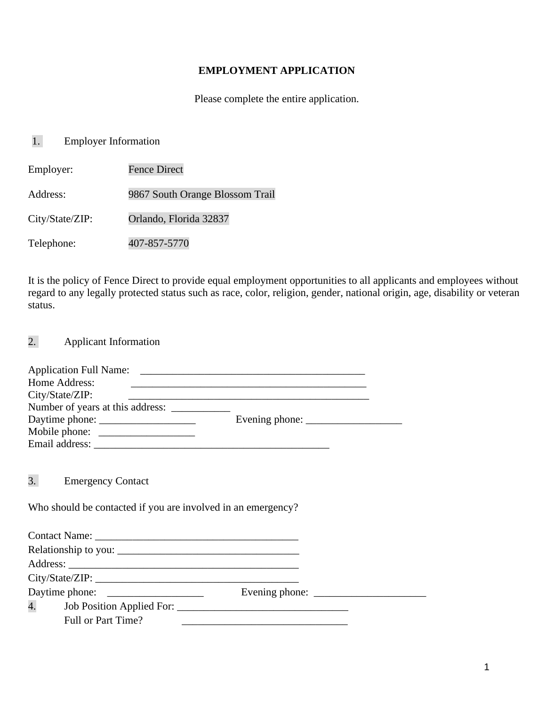#### **EMPLOYMENT APPLICATION**

Please complete the entire application.

# 1. Employer Information

| Employer:       | <b>Fence Direct</b>             |
|-----------------|---------------------------------|
| Address:        | 9867 South Orange Blossom Trail |
| City/State/ZIP: | Orlando, Florida 32837          |
| Telephone:      | 407-857-5770                    |

It is the policy of Fence Direct to provide equal employment opportunities to all applicants and employees without regard to any legally protected status such as race, color, religion, gender, national origin, age, disability or veteran status.

2. Applicant Information

| Home Address:                                                | <u> 1980 - Johann Stein, mars ann an t-Amhainn an t-Amhainn an t-Amhainn an t-Amhainn an t-Amhainn an t-Amhainn a</u> |  |
|--------------------------------------------------------------|-----------------------------------------------------------------------------------------------------------------------|--|
| City/State/ZIP:                                              |                                                                                                                       |  |
|                                                              |                                                                                                                       |  |
|                                                              |                                                                                                                       |  |
|                                                              |                                                                                                                       |  |
|                                                              |                                                                                                                       |  |
| 3. Emergency Contact                                         |                                                                                                                       |  |
| Who should be contacted if you are involved in an emergency? |                                                                                                                       |  |
|                                                              |                                                                                                                       |  |
|                                                              |                                                                                                                       |  |
|                                                              |                                                                                                                       |  |
|                                                              |                                                                                                                       |  |
|                                                              |                                                                                                                       |  |
| Full or Part Time?                                           |                                                                                                                       |  |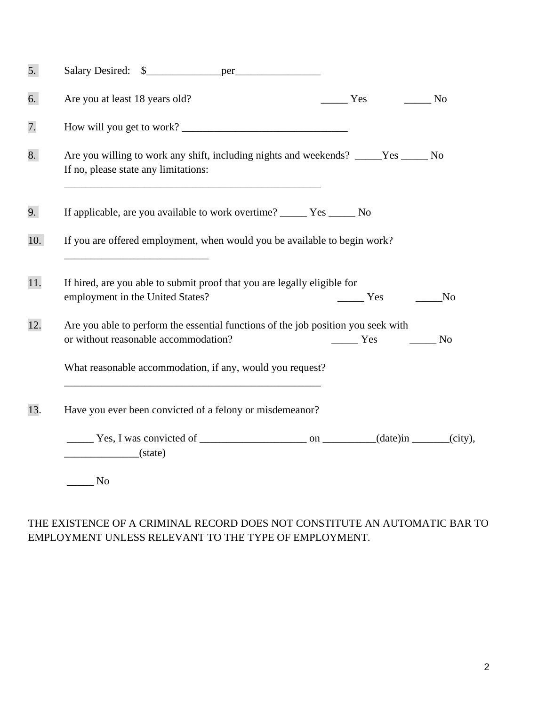| 5.  |                                                                                                                              |                                                                                                                                                                                                                                                                                                                                                                                                                                   |                |
|-----|------------------------------------------------------------------------------------------------------------------------------|-----------------------------------------------------------------------------------------------------------------------------------------------------------------------------------------------------------------------------------------------------------------------------------------------------------------------------------------------------------------------------------------------------------------------------------|----------------|
| 6.  | Are you at least 18 years old?                                                                                               | $\frac{1}{1}$ Yes<br>No.                                                                                                                                                                                                                                                                                                                                                                                                          |                |
| 7.  | How will you get to work?                                                                                                    |                                                                                                                                                                                                                                                                                                                                                                                                                                   |                |
| 8.  | Are you willing to work any shift, including nights and weekends? _____Yes ______ No<br>If no, please state any limitations: |                                                                                                                                                                                                                                                                                                                                                                                                                                   |                |
| 9.  | If applicable, are you available to work overtime? ______ Yes ______ No                                                      |                                                                                                                                                                                                                                                                                                                                                                                                                                   |                |
| 10. | If you are offered employment, when would you be available to begin work?                                                    |                                                                                                                                                                                                                                                                                                                                                                                                                                   |                |
| 11. | If hired, are you able to submit proof that you are legally eligible for<br>employment in the United States?                 | $\frac{1}{1}$ Yes                                                                                                                                                                                                                                                                                                                                                                                                                 | N <sub>o</sub> |
| 12. | Are you able to perform the essential functions of the job position you seek with<br>or without reasonable accommodation?    | $\frac{1}{\sqrt{1-\frac{1}{\sqrt{1-\frac{1}{\sqrt{1-\frac{1}{\sqrt{1-\frac{1}{\sqrt{1-\frac{1}{\sqrt{1-\frac{1}{\sqrt{1-\frac{1}{\sqrt{1-\frac{1}{\sqrt{1-\frac{1}{\sqrt{1-\frac{1}{\sqrt{1-\frac{1}{\sqrt{1-\frac{1}{\sqrt{1-\frac{1}{\sqrt{1-\frac{1}{\sqrt{1-\frac{1}{\sqrt{1-\frac{1}{\sqrt{1-\frac{1}{\sqrt{1-\frac{1}{\sqrt{1-\frac{1}{\sqrt{1-\frac{1}{\sqrt{1-\frac{1}{\sqrt{1-\frac{1}{\sqrt{1-\frac{1}{\sqrt{1-\frac{1$ |                |
|     | What reasonable accommodation, if any, would you request?                                                                    |                                                                                                                                                                                                                                                                                                                                                                                                                                   |                |
| 13. | Have you ever been convicted of a felony or misdemeanor?                                                                     |                                                                                                                                                                                                                                                                                                                                                                                                                                   |                |
|     | (state)                                                                                                                      |                                                                                                                                                                                                                                                                                                                                                                                                                                   |                |
|     | $\overline{\phantom{1}}$ No                                                                                                  |                                                                                                                                                                                                                                                                                                                                                                                                                                   |                |

### THE EXISTENCE OF A CRIMINAL RECORD DOES NOT CONSTITUTE AN AUTOMATIC BAR TO EMPLOYMENT UNLESS RELEVANT TO THE TYPE OF EMPLOYMENT.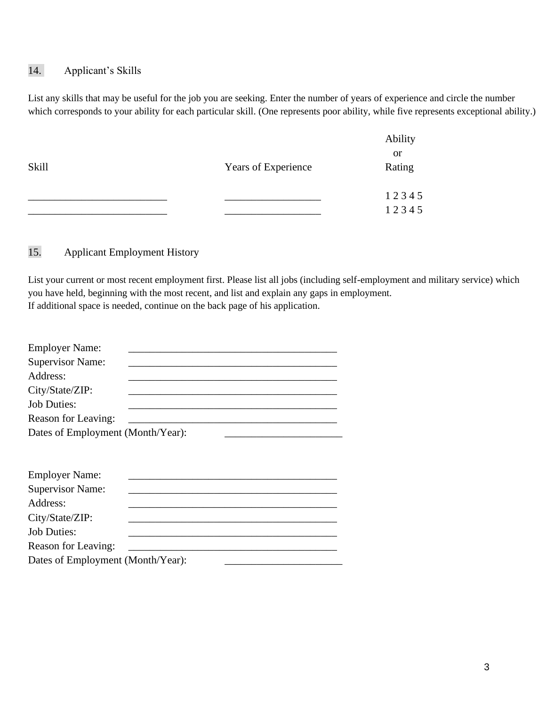## 14. Applicant's Skills

List any skills that may be useful for the job you are seeking. Enter the number of years of experience and circle the number which corresponds to your ability for each particular skill. (One represents poor ability, while five represents exceptional ability.)

|       |                     | Ability       |
|-------|---------------------|---------------|
|       |                     | <sub>or</sub> |
| Skill | Years of Experience | Rating        |
|       |                     |               |
|       |                     | 12345         |
|       |                     | 12345         |

15. Applicant Employment History

List your current or most recent employment first. Please list all jobs (including self-employment and military service) which you have held, beginning with the most recent, and list and explain any gaps in employment. If additional space is needed, continue on the back page of his application.

| <b>Employer Name:</b>             |  |
|-----------------------------------|--|
| <b>Supervisor Name:</b>           |  |
| Address:                          |  |
| City/State/ZIP:                   |  |
| <b>Job Duties:</b>                |  |
| Reason for Leaving:               |  |
| Dates of Employment (Month/Year): |  |
|                                   |  |
| <b>Employer Name:</b>             |  |
| <b>Supervisor Name:</b>           |  |
| Address:                          |  |
| City/State/ZIP:                   |  |
| <b>Job Duties:</b>                |  |
| Reason for Leaving:               |  |
| Dates of Employment (Month/Year): |  |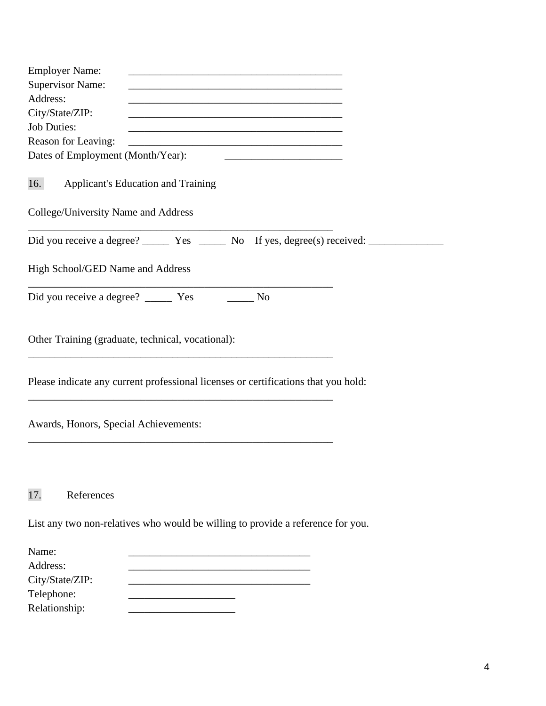| <b>Employer Name:</b><br><u> 1989 - Johann Barn, amerikansk politiker (d. 1989)</u>                                                    |
|----------------------------------------------------------------------------------------------------------------------------------------|
| <b>Supervisor Name:</b>                                                                                                                |
| Address:                                                                                                                               |
| City/State/ZIP:<br><u> 1989 - Johann Barn, mars eta bat eta bat eta bat eta bat ez bat ez bat ez bat ez bat ez bat ez bat ez bat e</u> |
| <b>Job Duties:</b>                                                                                                                     |
| Reason for Leaving:<br><u> 1989 - Johann Stoff, amerikansk politiker (* 1908)</u>                                                      |
| Dates of Employment (Month/Year):                                                                                                      |
| 16.<br><b>Applicant's Education and Training</b>                                                                                       |
| College/University Name and Address                                                                                                    |
|                                                                                                                                        |
| High School/GED Name and Address                                                                                                       |
| N <sub>O</sub>                                                                                                                         |
| Other Training (graduate, technical, vocational):                                                                                      |
| Please indicate any current professional licenses or certifications that you hold:                                                     |
| Awards, Honors, Special Achievements:                                                                                                  |
| 17.<br>References                                                                                                                      |
| List any two non-relatives who would be willing to provide a reference for you.                                                        |
| Name:                                                                                                                                  |
| Address:                                                                                                                               |
| City/State/ZIP:                                                                                                                        |
| Telephone:                                                                                                                             |
| Relationship:                                                                                                                          |